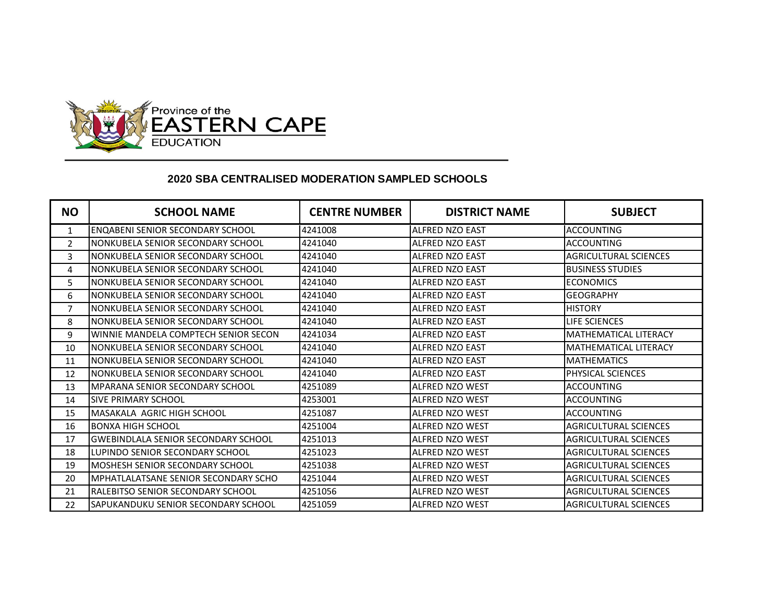

## **2020 SBA CENTRALISED MODERATION SAMPLED SCHOOLS**

| <b>NO</b>      | <b>SCHOOL NAME</b>                         | <b>CENTRE NUMBER</b> | <b>DISTRICT NAME</b>   | <b>SUBJECT</b>               |
|----------------|--------------------------------------------|----------------------|------------------------|------------------------------|
| $\mathbf{1}$   | <b>ENQABENI SENIOR SECONDARY SCHOOL</b>    | 4241008              | ALFRED NZO EAST        | ACCOUNTING                   |
| $\mathcal{P}$  | NONKUBELA SENIOR SECONDARY SCHOOL          | 4241040              | <b>ALFRED NZO EAST</b> | <b>ACCOUNTING</b>            |
| 3              | NONKUBELA SENIOR SECONDARY SCHOOL          | 4241040              | ALFRED NZO EAST        | <b>AGRICULTURAL SCIENCES</b> |
| 4              | NONKUBELA SENIOR SECONDARY SCHOOL          | 4241040              | <b>ALFRED NZO EAST</b> | <b>BUSINESS STUDIES</b>      |
| 5              | NONKUBELA SENIOR SECONDARY SCHOOL          | 4241040              | <b>ALFRED NZO EAST</b> | <b>ECONOMICS</b>             |
| 6              | NONKUBELA SENIOR SECONDARY SCHOOL          | 4241040              | <b>ALFRED NZO EAST</b> | <b>GEOGRAPHY</b>             |
| $\overline{7}$ | NONKUBELA SENIOR SECONDARY SCHOOL          | 4241040              | <b>ALFRED NZO EAST</b> | <b>HISTORY</b>               |
| 8              | NONKUBELA SENIOR SECONDARY SCHOOL          | 4241040              | <b>ALFRED NZO EAST</b> | LIFE SCIENCES                |
| 9              | WINNIE MANDELA COMPTECH SENIOR SECON       | 4241034              | <b>ALFRED NZO EAST</b> | <b>MATHEMATICAL LITERACY</b> |
| 10             | NONKUBELA SENIOR SECONDARY SCHOOL          | 4241040              | ALFRED NZO EAST        | <b>MATHEMATICAL LITERACY</b> |
| 11             | NONKUBELA SENIOR SECONDARY SCHOOL          | 4241040              | <b>ALFRED NZO EAST</b> | <b>MATHEMATICS</b>           |
| 12             | NONKUBELA SENIOR SECONDARY SCHOOL          | 4241040              | <b>ALFRED NZO EAST</b> | <b>PHYSICAL SCIENCES</b>     |
| 13             | <b>MPARANA SENIOR SECONDARY SCHOOL</b>     | 4251089              | ALFRED NZO WEST        | <b>ACCOUNTING</b>            |
| 14             | <b>SIVE PRIMARY SCHOOL</b>                 | 4253001              | <b>ALFRED NZO WEST</b> | ACCOUNTING                   |
| 15             | MASAKALA AGRIC HIGH SCHOOL                 | 4251087              | <b>ALFRED NZO WEST</b> | <b>ACCOUNTING</b>            |
| 16             | <b>BONXA HIGH SCHOOL</b>                   | 4251004              | <b>ALFRED NZO WEST</b> | <b>AGRICULTURAL SCIENCES</b> |
| 17             | <b>GWEBINDLALA SENIOR SECONDARY SCHOOL</b> | 4251013              | <b>ALFRED NZO WEST</b> | AGRICULTURAL SCIENCES        |
| 18             | LUPINDO SENIOR SECONDARY SCHOOL            | 4251023              | ALFRED NZO WEST        | <b>AGRICULTURAL SCIENCES</b> |
| 19             | MOSHESH SENIOR SECONDARY SCHOOL            | 4251038              | <b>ALFRED NZO WEST</b> | AGRICULTURAL SCIENCES        |
| 20             | MPHATLALATSANE SENIOR SECONDARY SCHO       | 4251044              | ALFRED NZO WEST        | <b>AGRICULTURAL SCIENCES</b> |
| 21             | RALEBITSO SENIOR SECONDARY SCHOOL          | 4251056              | <b>ALFRED NZO WEST</b> | <b>AGRICULTURAL SCIENCES</b> |
| 22             | SAPUKANDUKU SENIOR SECONDARY SCHOOL        | 4251059              | <b>ALFRED NZO WEST</b> | AGRICULTURAL SCIENCES        |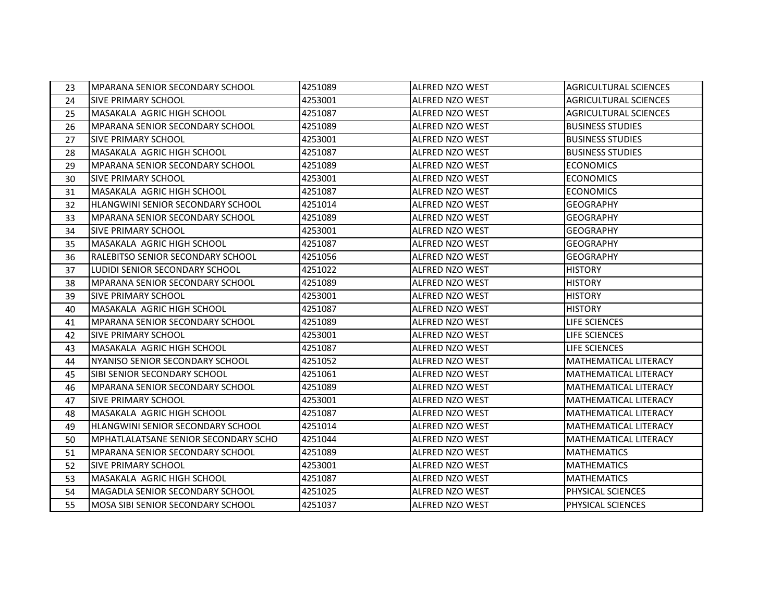| 23 | <b>MPARANA SENIOR SECONDARY SCHOOL</b>      | 4251089 | ALFRED NZO WEST        | <b>AGRICULTURAL SCIENCES</b> |
|----|---------------------------------------------|---------|------------------------|------------------------------|
| 24 | <b>SIVE PRIMARY SCHOOL</b>                  | 4253001 | ALFRED NZO WEST        | <b>AGRICULTURAL SCIENCES</b> |
| 25 | MASAKALA AGRIC HIGH SCHOOL                  | 4251087 | <b>ALFRED NZO WEST</b> | <b>AGRICULTURAL SCIENCES</b> |
| 26 | <b>MPARANA SENIOR SECONDARY SCHOOL</b>      | 4251089 | ALFRED NZO WEST        | <b>BUSINESS STUDIES</b>      |
| 27 | <b>SIVE PRIMARY SCHOOL</b>                  | 4253001 | ALFRED NZO WEST        | <b>BUSINESS STUDIES</b>      |
| 28 | MASAKALA AGRIC HIGH SCHOOL                  | 4251087 | ALFRED NZO WEST        | <b>BUSINESS STUDIES</b>      |
| 29 | <b>MPARANA SENIOR SECONDARY SCHOOL</b>      | 4251089 | <b>ALFRED NZO WEST</b> | <b>ECONOMICS</b>             |
| 30 | <b>SIVE PRIMARY SCHOOL</b>                  | 4253001 | ALFRED NZO WEST        | <b>ECONOMICS</b>             |
| 31 | MASAKALA AGRIC HIGH SCHOOL                  | 4251087 | ALFRED NZO WEST        | <b>ECONOMICS</b>             |
| 32 | HLANGWINI SENIOR SECONDARY SCHOOL           | 4251014 | ALFRED NZO WEST        | <b>GEOGRAPHY</b>             |
| 33 | <b>MPARANA SENIOR SECONDARY SCHOOL</b>      | 4251089 | <b>ALFRED NZO WEST</b> | <b>GEOGRAPHY</b>             |
| 34 | <b>SIVE PRIMARY SCHOOL</b>                  | 4253001 | ALFRED NZO WEST        | <b>GEOGRAPHY</b>             |
| 35 | MASAKALA AGRIC HIGH SCHOOL                  | 4251087 | ALFRED NZO WEST        | <b>GEOGRAPHY</b>             |
| 36 | RALEBITSO SENIOR SECONDARY SCHOOL           | 4251056 | ALFRED NZO WEST        | <b>GEOGRAPHY</b>             |
| 37 | LUDIDI SENIOR SECONDARY SCHOOL              | 4251022 | ALFRED NZO WEST        | <b>HISTORY</b>               |
| 38 | <b>MPARANA SENIOR SECONDARY SCHOOL</b>      | 4251089 | ALFRED NZO WEST        | <b>HISTORY</b>               |
| 39 | <b>SIVE PRIMARY SCHOOL</b>                  | 4253001 | <b>ALFRED NZO WEST</b> | <b>HISTORY</b>               |
| 40 | MASAKALA AGRIC HIGH SCHOOL                  | 4251087 | ALFRED NZO WEST        | <b>HISTORY</b>               |
| 41 | MPARANA SENIOR SECONDARY SCHOOL             | 4251089 | <b>ALFRED NZO WEST</b> | LIFE SCIENCES                |
| 42 | <b>SIVE PRIMARY SCHOOL</b>                  | 4253001 | <b>ALFRED NZO WEST</b> | LIFE SCIENCES                |
| 43 | MASAKALA AGRIC HIGH SCHOOL                  | 4251087 | <b>ALFRED NZO WEST</b> | LIFE SCIENCES                |
| 44 | NYANISO SENIOR SECONDARY SCHOOL             | 4251052 | <b>ALFRED NZO WEST</b> | <b>MATHEMATICAL LITERACY</b> |
| 45 | SIBI SENIOR SECONDARY SCHOOL                | 4251061 | <b>ALFRED NZO WEST</b> | <b>MATHEMATICAL LITERACY</b> |
| 46 | <b>MPARANA SENIOR SECONDARY SCHOOL</b>      | 4251089 | <b>ALFRED NZO WEST</b> | <b>MATHEMATICAL LITERACY</b> |
| 47 | <b>SIVE PRIMARY SCHOOL</b>                  | 4253001 | ALFRED NZO WEST        | <b>MATHEMATICAL LITERACY</b> |
| 48 | MASAKALA AGRIC HIGH SCHOOL                  | 4251087 | <b>ALFRED NZO WEST</b> | <b>MATHEMATICAL LITERACY</b> |
| 49 | HLANGWINI SENIOR SECONDARY SCHOOL           | 4251014 | ALFRED NZO WEST        | MATHEMATICAL LITERACY        |
| 50 | <b>MPHATLALATSANE SENIOR SECONDARY SCHO</b> | 4251044 | ALFRED NZO WEST        | MATHEMATICAL LITERACY        |
| 51 | MPARANA SENIOR SECONDARY SCHOOL             | 4251089 | ALFRED NZO WEST        | <b>MATHEMATICS</b>           |
| 52 | <b>SIVE PRIMARY SCHOOL</b>                  | 4253001 | <b>ALFRED NZO WEST</b> | <b>MATHEMATICS</b>           |
| 53 | MASAKALA AGRIC HIGH SCHOOL                  | 4251087 | ALFRED NZO WEST        | <b>MATHEMATICS</b>           |
| 54 | MAGADLA SENIOR SECONDARY SCHOOL             | 4251025 | ALFRED NZO WEST        | PHYSICAL SCIENCES            |
| 55 | MOSA SIBI SENIOR SECONDARY SCHOOL           | 4251037 | ALFRED NZO WEST        | PHYSICAL SCIENCES            |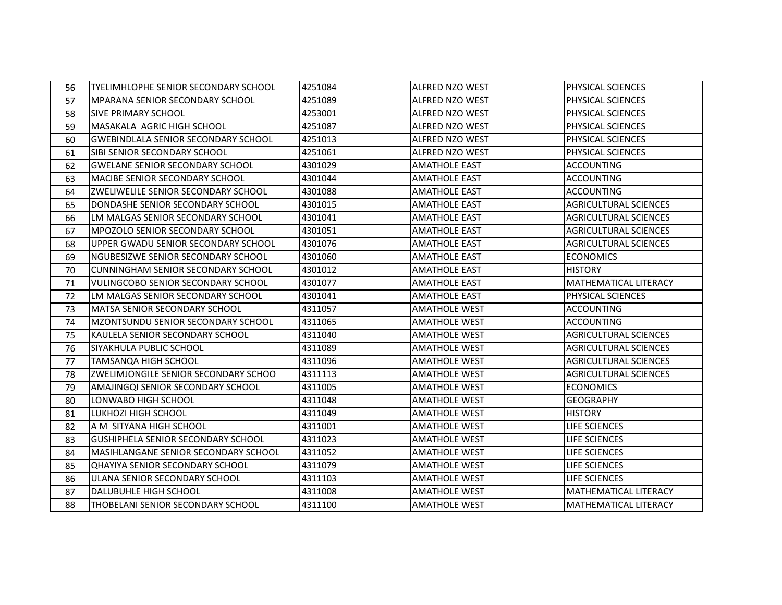| 56 | TYELIMHLOPHE SENIOR SECONDARY SCHOOL       | 4251084 | <b>ALFRED NZO WEST</b> | PHYSICAL SCIENCES            |
|----|--------------------------------------------|---------|------------------------|------------------------------|
| 57 | MPARANA SENIOR SECONDARY SCHOOL            | 4251089 | ALFRED NZO WEST        | PHYSICAL SCIENCES            |
| 58 | <b>SIVE PRIMARY SCHOOL</b>                 | 4253001 | <b>ALFRED NZO WEST</b> | PHYSICAL SCIENCES            |
| 59 | MASAKALA AGRIC HIGH SCHOOL                 | 4251087 | ALFRED NZO WEST        | PHYSICAL SCIENCES            |
| 60 | <b>GWEBINDLALA SENIOR SECONDARY SCHOOL</b> | 4251013 | ALFRED NZO WEST        | PHYSICAL SCIENCES            |
| 61 | SIBI SENIOR SECONDARY SCHOOL               | 4251061 | <b>ALFRED NZO WEST</b> | PHYSICAL SCIENCES            |
| 62 | <b>GWELANE SENIOR SECONDARY SCHOOL</b>     | 4301029 | <b>AMATHOLE EAST</b>   | <b>ACCOUNTING</b>            |
| 63 | <b>MACIBE SENIOR SECONDARY SCHOOL</b>      | 4301044 | <b>AMATHOLE EAST</b>   | <b>ACCOUNTING</b>            |
| 64 | <b>ZWELIWELILE SENIOR SECONDARY SCHOOL</b> | 4301088 | <b>AMATHOLE EAST</b>   | <b>ACCOUNTING</b>            |
| 65 | DONDASHE SENIOR SECONDARY SCHOOL           | 4301015 | <b>AMATHOLE EAST</b>   | <b>AGRICULTURAL SCIENCES</b> |
| 66 | LM MALGAS SENIOR SECONDARY SCHOOL          | 4301041 | <b>AMATHOLE EAST</b>   | <b>AGRICULTURAL SCIENCES</b> |
| 67 | MPOZOLO SENIOR SECONDARY SCHOOL            | 4301051 | <b>AMATHOLE EAST</b>   | <b>AGRICULTURAL SCIENCES</b> |
| 68 | UPPER GWADU SENIOR SECONDARY SCHOOL        | 4301076 | <b>AMATHOLE EAST</b>   | <b>AGRICULTURAL SCIENCES</b> |
| 69 | NGUBESIZWE SENIOR SECONDARY SCHOOL         | 4301060 | <b>AMATHOLE EAST</b>   | <b>ECONOMICS</b>             |
| 70 | <b>CUNNINGHAM SENIOR SECONDARY SCHOOL</b>  | 4301012 | <b>AMATHOLE EAST</b>   | <b>HISTORY</b>               |
| 71 | <b>VULINGCOBO SENIOR SECONDARY SCHOOL</b>  | 4301077 | <b>AMATHOLE EAST</b>   | MATHEMATICAL LITERACY        |
| 72 | LM MALGAS SENIOR SECONDARY SCHOOL          | 4301041 | <b>AMATHOLE EAST</b>   | PHYSICAL SCIENCES            |
| 73 | MATSA SENIOR SECONDARY SCHOOL              | 4311057 | <b>AMATHOLE WEST</b>   | <b>ACCOUNTING</b>            |
| 74 | MZONTSUNDU SENIOR SECONDARY SCHOOL         | 4311065 | <b>AMATHOLE WEST</b>   | <b>ACCOUNTING</b>            |
| 75 | KAULELA SENIOR SECONDARY SCHOOL            | 4311040 | <b>AMATHOLE WEST</b>   | <b>AGRICULTURAL SCIENCES</b> |
| 76 | SIYAKHULA PUBLIC SCHOOL                    | 4311089 | <b>AMATHOLE WEST</b>   | <b>AGRICULTURAL SCIENCES</b> |
| 77 | <b>TAMSANQA HIGH SCHOOL</b>                | 4311096 | <b>AMATHOLE WEST</b>   | <b>AGRICULTURAL SCIENCES</b> |
| 78 | ZWELIMJONGILE SENIOR SECONDARY SCHOO       | 4311113 | <b>AMATHOLE WEST</b>   | <b>AGRICULTURAL SCIENCES</b> |
| 79 | AMAJINGOI SENIOR SECONDARY SCHOOL          | 4311005 | <b>AMATHOLE WEST</b>   | <b>ECONOMICS</b>             |
| 80 | LONWABO HIGH SCHOOL                        | 4311048 | <b>AMATHOLE WEST</b>   | <b>GEOGRAPHY</b>             |
| 81 | LUKHOZI HIGH SCHOOL                        | 4311049 | <b>AMATHOLE WEST</b>   | <b>HISTORY</b>               |
| 82 | A M SITYANA HIGH SCHOOL                    | 4311001 | <b>AMATHOLE WEST</b>   | LIFE SCIENCES                |
| 83 | <b>GUSHIPHELA SENIOR SECONDARY SCHOOL</b>  | 4311023 | <b>AMATHOLE WEST</b>   | LIFE SCIENCES                |
| 84 | MASIHLANGANE SENIOR SECONDARY SCHOOL       | 4311052 | <b>AMATHOLE WEST</b>   | LIFE SCIENCES                |
| 85 | <b>QHAYIYA SENIOR SECONDARY SCHOOL</b>     | 4311079 | <b>AMATHOLE WEST</b>   | LIFE SCIENCES                |
| 86 | ULANA SENIOR SECONDARY SCHOOL              | 4311103 | <b>AMATHOLE WEST</b>   | LIFE SCIENCES                |
| 87 | DALUBUHLE HIGH SCHOOL                      | 4311008 | <b>AMATHOLE WEST</b>   | MATHEMATICAL LITERACY        |
| 88 | THOBELANI SENIOR SECONDARY SCHOOL          | 4311100 | <b>AMATHOLE WEST</b>   | <b>MATHEMATICAL LITERACY</b> |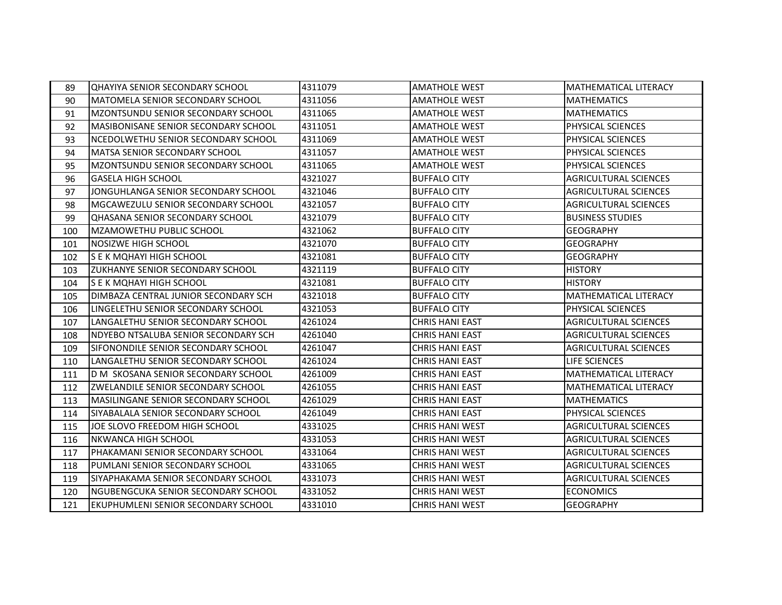| 89  | <b>QHAYIYA SENIOR SECONDARY SCHOOL</b>      | 4311079 | <b>AMATHOLE WEST</b>   | <b>MATHEMATICAL LITERACY</b> |
|-----|---------------------------------------------|---------|------------------------|------------------------------|
| 90  | MATOMELA SENIOR SECONDARY SCHOOL            | 4311056 | <b>AMATHOLE WEST</b>   | <b>MATHEMATICS</b>           |
| 91  | MZONTSUNDU SENIOR SECONDARY SCHOOL          | 4311065 | <b>AMATHOLE WEST</b>   | <b>MATHEMATICS</b>           |
| 92  | <b>MASIBONISANE SENIOR SECONDARY SCHOOL</b> | 4311051 | <b>AMATHOLE WEST</b>   | PHYSICAL SCIENCES            |
| 93  | NCEDOLWETHU SENIOR SECONDARY SCHOOL         | 4311069 | <b>AMATHOLE WEST</b>   | PHYSICAL SCIENCES            |
| 94  | MATSA SENIOR SECONDARY SCHOOL               | 4311057 | <b>AMATHOLE WEST</b>   | PHYSICAL SCIENCES            |
| 95  | MZONTSUNDU SENIOR SECONDARY SCHOOL          | 4311065 | <b>AMATHOLE WEST</b>   | PHYSICAL SCIENCES            |
| 96  | <b>GASELA HIGH SCHOOL</b>                   | 4321027 | <b>BUFFALO CITY</b>    | <b>AGRICULTURAL SCIENCES</b> |
| 97  | JONGUHLANGA SENIOR SECONDARY SCHOOL         | 4321046 | <b>BUFFALO CITY</b>    | <b>AGRICULTURAL SCIENCES</b> |
| 98  | MGCAWEZULU SENIOR SECONDARY SCHOOL          | 4321057 | <b>BUFFALO CITY</b>    | <b>AGRICULTURAL SCIENCES</b> |
| 99  | <b>QHASANA SENIOR SECONDARY SCHOOL</b>      | 4321079 | <b>BUFFALO CITY</b>    | <b>BUSINESS STUDIES</b>      |
| 100 | <b>MZAMOWETHU PUBLIC SCHOOL</b>             | 4321062 | <b>BUFFALO CITY</b>    | <b>GEOGRAPHY</b>             |
| 101 | <b>NOSIZWE HIGH SCHOOL</b>                  | 4321070 | <b>BUFFALO CITY</b>    | <b>GEOGRAPHY</b>             |
| 102 | S E K MQHAYI HIGH SCHOOL                    | 4321081 | <b>BUFFALO CITY</b>    | <b>GEOGRAPHY</b>             |
| 103 | <b>ZUKHANYE SENIOR SECONDARY SCHOOL</b>     | 4321119 | <b>BUFFALO CITY</b>    | <b>HISTORY</b>               |
| 104 | ls e k mohayi high school                   | 4321081 | <b>BUFFALO CITY</b>    | <b>HISTORY</b>               |
| 105 | DIMBAZA CENTRAL JUNIOR SECONDARY SCH        | 4321018 | <b>BUFFALO CITY</b>    | <b>MATHEMATICAL LITERACY</b> |
| 106 | LINGELETHU SENIOR SECONDARY SCHOOL          | 4321053 | <b>BUFFALO CITY</b>    | PHYSICAL SCIENCES            |
| 107 | LANGALETHU SENIOR SECONDARY SCHOOL          | 4261024 | <b>CHRIS HANI EAST</b> | <b>AGRICULTURAL SCIENCES</b> |
| 108 | INDYEBO NTSALUBA SENIOR SECONDARY SCH       | 4261040 | <b>CHRIS HANI EAST</b> | <b>AGRICULTURAL SCIENCES</b> |
| 109 | SIFONONDILE SENIOR SECONDARY SCHOOL         | 4261047 | <b>CHRIS HANI EAST</b> | <b>AGRICULTURAL SCIENCES</b> |
| 110 | LANGALETHU SENIOR SECONDARY SCHOOL          | 4261024 | <b>CHRIS HANI EAST</b> | LIFE SCIENCES                |
| 111 | D M SKOSANA SENIOR SECONDARY SCHOOL         | 4261009 | <b>CHRIS HANI EAST</b> | <b>MATHEMATICAL LITERACY</b> |
| 112 | ZWELANDILE SENIOR SECONDARY SCHOOL          | 4261055 | <b>CHRIS HANI EAST</b> | <b>MATHEMATICAL LITERACY</b> |
| 113 | MASILINGANE SENIOR SECONDARY SCHOOL         | 4261029 | <b>CHRIS HANI EAST</b> | <b>MATHEMATICS</b>           |
| 114 | SIYABALALA SENIOR SECONDARY SCHOOL          | 4261049 | <b>CHRIS HANI EAST</b> | PHYSICAL SCIENCES            |
| 115 | JOE SLOVO FREEDOM HIGH SCHOOL               | 4331025 | <b>CHRIS HANI WEST</b> | <b>AGRICULTURAL SCIENCES</b> |
| 116 | <b>NKWANCA HIGH SCHOOL</b>                  | 4331053 | <b>CHRIS HANI WEST</b> | <b>AGRICULTURAL SCIENCES</b> |
| 117 | PHAKAMANI SENIOR SECONDARY SCHOOL           | 4331064 | <b>CHRIS HANI WEST</b> | <b>AGRICULTURAL SCIENCES</b> |
| 118 | PUMLANI SENIOR SECONDARY SCHOOL             | 4331065 | <b>CHRIS HANI WEST</b> | <b>AGRICULTURAL SCIENCES</b> |
| 119 | SIYAPHAKAMA SENIOR SECONDARY SCHOOL         | 4331073 | <b>CHRIS HANI WEST</b> | <b>AGRICULTURAL SCIENCES</b> |
| 120 | NGUBENGCUKA SENIOR SECONDARY SCHOOL         | 4331052 | <b>CHRIS HANI WEST</b> | <b>ECONOMICS</b>             |
| 121 | EKUPHUMLENI SENIOR SECONDARY SCHOOL         | 4331010 | <b>CHRIS HANI WEST</b> | <b>GEOGRAPHY</b>             |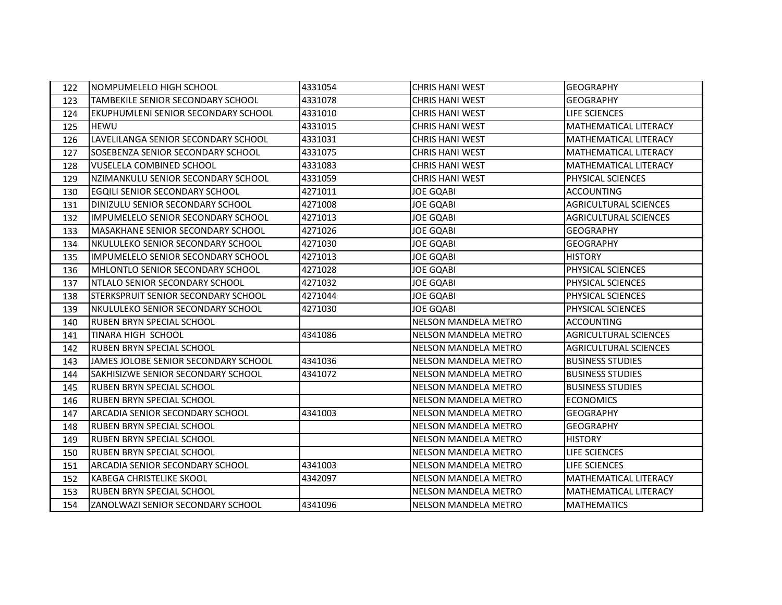| 122 | NOMPUMELELO HIGH SCHOOL                | 4331054 | <b>CHRIS HANI WEST</b>      | <b>GEOGRAPHY</b>             |
|-----|----------------------------------------|---------|-----------------------------|------------------------------|
| 123 | TAMBEKILE SENIOR SECONDARY SCHOOL      | 4331078 | <b>CHRIS HANI WEST</b>      | <b>GEOGRAPHY</b>             |
| 124 | EKUPHUMLENI SENIOR SECONDARY SCHOOL    | 4331010 | <b>CHRIS HANI WEST</b>      | LIFE SCIENCES                |
| 125 | <b>HEWU</b>                            | 4331015 | <b>CHRIS HANI WEST</b>      | MATHEMATICAL LITERACY        |
| 126 | LAVELILANGA SENIOR SECONDARY SCHOOL    | 4331031 | <b>CHRIS HANI WEST</b>      | MATHEMATICAL LITERACY        |
| 127 | SOSEBENZA SENIOR SECONDARY SCHOOL      | 4331075 | <b>CHRIS HANI WEST</b>      | MATHEMATICAL LITERACY        |
| 128 | <b>VUSELELA COMBINED SCHOOL</b>        | 4331083 | <b>CHRIS HANI WEST</b>      | <b>MATHEMATICAL LITERACY</b> |
| 129 | NZIMANKULU SENIOR SECONDARY SCHOOL     | 4331059 | <b>CHRIS HANI WEST</b>      | PHYSICAL SCIENCES            |
| 130 | EGQILI SENIOR SECONDARY SCHOOL         | 4271011 | JOE GQABI                   | <b>ACCOUNTING</b>            |
| 131 | DINIZULU SENIOR SECONDARY SCHOOL       | 4271008 | JOE GQABI                   | <b>AGRICULTURAL SCIENCES</b> |
| 132 | IMPUMELELO SENIOR SECONDARY SCHOOL     | 4271013 | JOE GQABI                   | <b>AGRICULTURAL SCIENCES</b> |
| 133 | MASAKHANE SENIOR SECONDARY SCHOOL      | 4271026 | JOE GQABI                   | <b>GEOGRAPHY</b>             |
| 134 | NKULULEKO SENIOR SECONDARY SCHOOL      | 4271030 | JOE GQABI                   | <b>GEOGRAPHY</b>             |
| 135 | IMPUMELELO SENIOR SECONDARY SCHOOL     | 4271013 | JOE GQABI                   | <b>HISTORY</b>               |
| 136 | MHLONTLO SENIOR SECONDARY SCHOOL       | 4271028 | JOE GQABI                   | PHYSICAL SCIENCES            |
| 137 | <b>INTLALO SENIOR SECONDARY SCHOOL</b> | 4271032 | JOE GQABI                   | PHYSICAL SCIENCES            |
| 138 | STERKSPRUIT SENIOR SECONDARY SCHOOL    | 4271044 | JOE GQABI                   | PHYSICAL SCIENCES            |
| 139 | NKULULEKO SENIOR SECONDARY SCHOOL      | 4271030 | JOE GQABI                   | PHYSICAL SCIENCES            |
| 140 | <b>RUBEN BRYN SPECIAL SCHOOL</b>       |         | NELSON MANDELA METRO        | <b>ACCOUNTING</b>            |
| 141 | <b>TINARA HIGH SCHOOL</b>              | 4341086 | <b>NELSON MANDELA METRO</b> | <b>AGRICULTURAL SCIENCES</b> |
| 142 | RUBEN BRYN SPECIAL SCHOOL              |         | <b>NELSON MANDELA METRO</b> | <b>AGRICULTURAL SCIENCES</b> |
| 143 | JAMES JOLOBE SENIOR SECONDARY SCHOOL   | 4341036 | NELSON MANDELA METRO        | <b>BUSINESS STUDIES</b>      |
| 144 | SAKHISIZWE SENIOR SECONDARY SCHOOL     | 4341072 | NELSON MANDELA METRO        | <b>BUSINESS STUDIES</b>      |
| 145 | <b>RUBEN BRYN SPECIAL SCHOOL</b>       |         | NELSON MANDELA METRO        | <b>BUSINESS STUDIES</b>      |
| 146 | RUBEN BRYN SPECIAL SCHOOL              |         | <b>NELSON MANDELA METRO</b> | <b>ECONOMICS</b>             |
| 147 | ARCADIA SENIOR SECONDARY SCHOOL        | 4341003 | NELSON MANDELA METRO        | <b>GEOGRAPHY</b>             |
| 148 | RUBEN BRYN SPECIAL SCHOOL              |         | <b>NELSON MANDELA METRO</b> | <b>GEOGRAPHY</b>             |
| 149 | RUBEN BRYN SPECIAL SCHOOL              |         | <b>NELSON MANDELA METRO</b> | <b>HISTORY</b>               |
| 150 | RUBEN BRYN SPECIAL SCHOOL              |         | <b>NELSON MANDELA METRO</b> | LIFE SCIENCES                |
| 151 | <b>ARCADIA SENIOR SECONDARY SCHOOL</b> | 4341003 | NELSON MANDELA METRO        | LIFE SCIENCES                |
| 152 | <b>KABEGA CHRISTELIKE SKOOL</b>        | 4342097 | <b>NELSON MANDELA METRO</b> | MATHEMATICAL LITERACY        |
| 153 | <b>RUBEN BRYN SPECIAL SCHOOL</b>       |         | <b>NELSON MANDELA METRO</b> | <b>MATHEMATICAL LITERACY</b> |
| 154 | ZANOLWAZI SENIOR SECONDARY SCHOOL      | 4341096 | <b>NELSON MANDELA METRO</b> | <b>MATHEMATICS</b>           |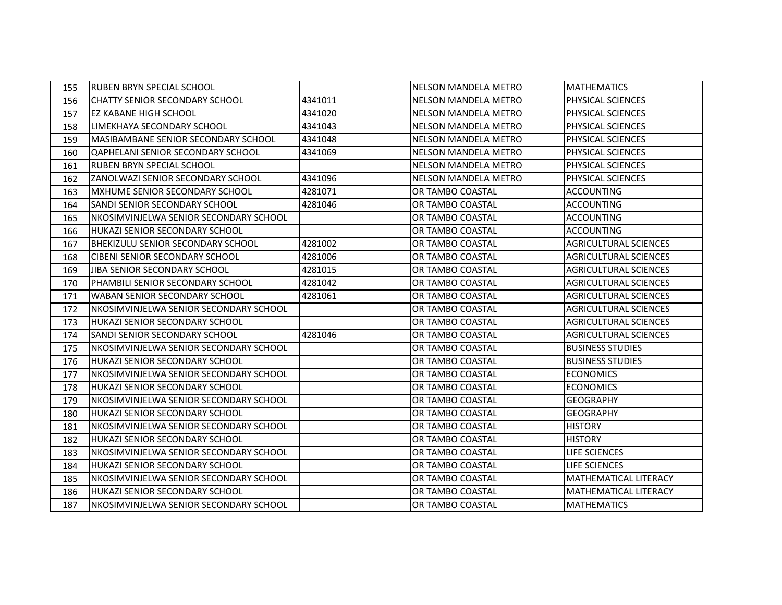| 155 | RUBEN BRYN SPECIAL SCHOOL                  |         | NELSON MANDELA METRO        | <b>MATHEMATICS</b>           |
|-----|--------------------------------------------|---------|-----------------------------|------------------------------|
| 156 | CHATTY SENIOR SECONDARY SCHOOL             | 4341011 | <b>NELSON MANDELA METRO</b> | PHYSICAL SCIENCES            |
| 157 | <b>EZ KABANE HIGH SCHOOL</b>               | 4341020 | NELSON MANDELA METRO        | PHYSICAL SCIENCES            |
| 158 | LIMEKHAYA SECONDARY SCHOOL                 | 4341043 | <b>NELSON MANDELA METRO</b> | PHYSICAL SCIENCES            |
| 159 | <b>MASIBAMBANE SENIOR SECONDARY SCHOOL</b> | 4341048 | NELSON MANDELA METRO        | PHYSICAL SCIENCES            |
| 160 | QAPHELANI SENIOR SECONDARY SCHOOL          | 4341069 | <b>NELSON MANDELA METRO</b> | PHYSICAL SCIENCES            |
| 161 | RUBEN BRYN SPECIAL SCHOOL                  |         | NELSON MANDELA METRO        | PHYSICAL SCIENCES            |
| 162 | ZANOLWAZI SENIOR SECONDARY SCHOOL          | 4341096 | NELSON MANDELA METRO        | PHYSICAL SCIENCES            |
| 163 | MXHUME SENIOR SECONDARY SCHOOL             | 4281071 | OR TAMBO COASTAL            | <b>ACCOUNTING</b>            |
| 164 | SANDI SENIOR SECONDARY SCHOOL              | 4281046 | OR TAMBO COASTAL            | <b>ACCOUNTING</b>            |
| 165 | NKOSIMVINJELWA SENIOR SECONDARY SCHOOL     |         | OR TAMBO COASTAL            | <b>ACCOUNTING</b>            |
| 166 | HUKAZI SENIOR SECONDARY SCHOOL             |         | OR TAMBO COASTAL            | <b>ACCOUNTING</b>            |
| 167 | <b>BHEKIZULU SENIOR SECONDARY SCHOOL</b>   | 4281002 | OR TAMBO COASTAL            | <b>AGRICULTURAL SCIENCES</b> |
| 168 | CIBENI SENIOR SECONDARY SCHOOL             | 4281006 | OR TAMBO COASTAL            | <b>AGRICULTURAL SCIENCES</b> |
| 169 | JIBA SENIOR SECONDARY SCHOOL               | 4281015 | OR TAMBO COASTAL            | <b>AGRICULTURAL SCIENCES</b> |
| 170 | PHAMBILI SENIOR SECONDARY SCHOOL           | 4281042 | OR TAMBO COASTAL            | <b>AGRICULTURAL SCIENCES</b> |
| 171 | WABAN SENIOR SECONDARY SCHOOL              | 4281061 | OR TAMBO COASTAL            | <b>AGRICULTURAL SCIENCES</b> |
| 172 | NKOSIMVINJELWA SENIOR SECONDARY SCHOOL     |         | OR TAMBO COASTAL            | <b>AGRICULTURAL SCIENCES</b> |
| 173 | HUKAZI SENIOR SECONDARY SCHOOL             |         | OR TAMBO COASTAL            | <b>AGRICULTURAL SCIENCES</b> |
| 174 | SANDI SENIOR SECONDARY SCHOOL              | 4281046 | OR TAMBO COASTAL            | <b>AGRICULTURAL SCIENCES</b> |
| 175 | NKOSIMVINJELWA SENIOR SECONDARY SCHOOL     |         | OR TAMBO COASTAL            | <b>BUSINESS STUDIES</b>      |
| 176 | HUKAZI SENIOR SECONDARY SCHOOL             |         | OR TAMBO COASTAL            | <b>BUSINESS STUDIES</b>      |
| 177 | NKOSIMVINJELWA SENIOR SECONDARY SCHOOL     |         | OR TAMBO COASTAL            | <b>ECONOMICS</b>             |
| 178 | <b>HUKAZI SENIOR SECONDARY SCHOOL</b>      |         | OR TAMBO COASTAL            | <b>ECONOMICS</b>             |
| 179 | NKOSIMVINJELWA SENIOR SECONDARY SCHOOL     |         | OR TAMBO COASTAL            | <b>GEOGRAPHY</b>             |
| 180 | HUKAZI SENIOR SECONDARY SCHOOL             |         | OR TAMBO COASTAL            | <b>GEOGRAPHY</b>             |
| 181 | NKOSIMVINJELWA SENIOR SECONDARY SCHOOL     |         | OR TAMBO COASTAL            | <b>HISTORY</b>               |
| 182 | HUKAZI SENIOR SECONDARY SCHOOL             |         | OR TAMBO COASTAL            | <b>HISTORY</b>               |
| 183 | NKOSIMVINJELWA SENIOR SECONDARY SCHOOL     |         | OR TAMBO COASTAL            | LIFE SCIENCES                |
| 184 | <b>HUKAZI SENIOR SECONDARY SCHOOL</b>      |         | OR TAMBO COASTAL            | LIFE SCIENCES                |
| 185 | NKOSIMVINJELWA SENIOR SECONDARY SCHOOL     |         | OR TAMBO COASTAL            | MATHEMATICAL LITERACY        |
| 186 | <b>HUKAZI SENIOR SECONDARY SCHOOL</b>      |         | OR TAMBO COASTAL            | MATHEMATICAL LITERACY        |
| 187 | NKOSIMVINJELWA SENIOR SECONDARY SCHOOL     |         | OR TAMBO COASTAL            | <b>MATHEMATICS</b>           |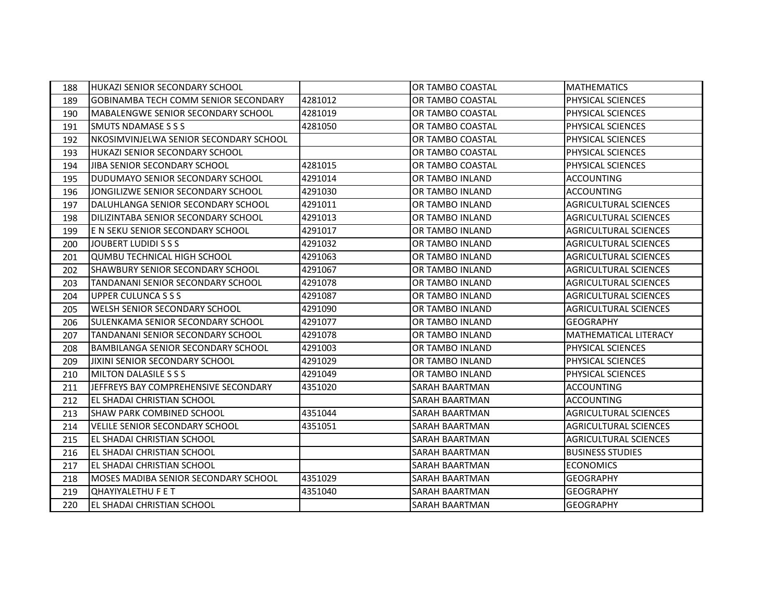| 188 | <b>HUKAZI SENIOR SECONDARY SCHOOL</b>       |         | OR TAMBO COASTAL        | <b>MATHEMATICS</b>           |
|-----|---------------------------------------------|---------|-------------------------|------------------------------|
| 189 | <b>GOBINAMBA TECH COMM SENIOR SECONDARY</b> | 4281012 | OR TAMBO COASTAL        | PHYSICAL SCIENCES            |
| 190 | <b>MABALENGWE SENIOR SECONDARY SCHOOL</b>   | 4281019 | OR TAMBO COASTAL        | PHYSICAL SCIENCES            |
| 191 | <b>SMUTS NDAMASE S S S</b>                  | 4281050 | OR TAMBO COASTAL        | PHYSICAL SCIENCES            |
| 192 | NKOSIMVINJELWA SENIOR SECONDARY SCHOOL      |         | OR TAMBO COASTAL        | PHYSICAL SCIENCES            |
| 193 | <b>HUKAZI SENIOR SECONDARY SCHOOL</b>       |         | <b>OR TAMBO COASTAL</b> | PHYSICAL SCIENCES            |
| 194 | JIBA SENIOR SECONDARY SCHOOL                | 4281015 | OR TAMBO COASTAL        | PHYSICAL SCIENCES            |
| 195 | DUDUMAYO SENIOR SECONDARY SCHOOL            | 4291014 | OR TAMBO INLAND         | <b>ACCOUNTING</b>            |
| 196 | JONGILIZWE SENIOR SECONDARY SCHOOL          | 4291030 | OR TAMBO INLAND         | <b>ACCOUNTING</b>            |
| 197 | DALUHLANGA SENIOR SECONDARY SCHOOL          | 4291011 | OR TAMBO INLAND         | <b>AGRICULTURAL SCIENCES</b> |
| 198 | DILIZINTABA SENIOR SECONDARY SCHOOL         | 4291013 | <b>OR TAMBO INLAND</b>  | <b>AGRICULTURAL SCIENCES</b> |
| 199 | E N SEKU SENIOR SECONDARY SCHOOL            | 4291017 | <b>OR TAMBO INLAND</b>  | <b>AGRICULTURAL SCIENCES</b> |
| 200 | JOUBERT LUDIDI S S S                        | 4291032 | OR TAMBO INLAND         | <b>AGRICULTURAL SCIENCES</b> |
| 201 | <b>QUMBU TECHNICAL HIGH SCHOOL</b>          | 4291063 | OR TAMBO INLAND         | <b>AGRICULTURAL SCIENCES</b> |
| 202 | SHAWBURY SENIOR SECONDARY SCHOOL            | 4291067 | <b>OR TAMBO INLAND</b>  | <b>AGRICULTURAL SCIENCES</b> |
| 203 | TANDANANI SENIOR SECONDARY SCHOOL           | 4291078 | OR TAMBO INLAND         | <b>AGRICULTURAL SCIENCES</b> |
| 204 | <b>UPPER CULUNCA S S S</b>                  | 4291087 | OR TAMBO INLAND         | <b>AGRICULTURAL SCIENCES</b> |
| 205 | WELSH SENIOR SECONDARY SCHOOL               | 4291090 | OR TAMBO INLAND         | <b>AGRICULTURAL SCIENCES</b> |
| 206 | SULENKAMA SENIOR SECONDARY SCHOOL           | 4291077 | <b>OR TAMBO INLAND</b>  | <b>GEOGRAPHY</b>             |
| 207 | <b>TANDANANI SENIOR SECONDARY SCHOOL</b>    | 4291078 | OR TAMBO INLAND         | MATHEMATICAL LITERACY        |
| 208 | <b>BAMBILANGA SENIOR SECONDARY SCHOOL</b>   | 4291003 | OR TAMBO INLAND         | PHYSICAL SCIENCES            |
| 209 | JIXINI SENIOR SECONDARY SCHOOL              | 4291029 | OR TAMBO INLAND         | PHYSICAL SCIENCES            |
| 210 | MILTON DALASILE S S S                       | 4291049 | OR TAMBO INLAND         | PHYSICAL SCIENCES            |
| 211 | JEFFREYS BAY COMPREHENSIVE SECONDARY        | 4351020 | SARAH BAARTMAN          | <b>ACCOUNTING</b>            |
| 212 | EL SHADAI CHRISTIAN SCHOOL                  |         | <b>SARAH BAARTMAN</b>   | <b>ACCOUNTING</b>            |
| 213 | ISHAW PARK COMBINED SCHOOL                  | 4351044 | <b>SARAH BAARTMAN</b>   | <b>AGRICULTURAL SCIENCES</b> |
| 214 | <b>VELILE SENIOR SECONDARY SCHOOL</b>       | 4351051 | <b>SARAH BAARTMAN</b>   | <b>AGRICULTURAL SCIENCES</b> |
| 215 | EL SHADAI CHRISTIAN SCHOOL                  |         | <b>SARAH BAARTMAN</b>   | <b>AGRICULTURAL SCIENCES</b> |
| 216 | EL SHADAI CHRISTIAN SCHOOL                  |         | <b>SARAH BAARTMAN</b>   | <b>BUSINESS STUDIES</b>      |
| 217 | EL SHADAI CHRISTIAN SCHOOL                  |         | <b>SARAH BAARTMAN</b>   | <b>ECONOMICS</b>             |
| 218 | MOSES MADIBA SENIOR SECONDARY SCHOOL        | 4351029 | SARAH BAARTMAN          | <b>GEOGRAPHY</b>             |
| 219 | <b>QHAYIYALETHU F E T</b>                   | 4351040 | SARAH BAARTMAN          | <b>GEOGRAPHY</b>             |
| 220 | EL SHADAI CHRISTIAN SCHOOL                  |         | <b>SARAH BAARTMAN</b>   | <b>GEOGRAPHY</b>             |